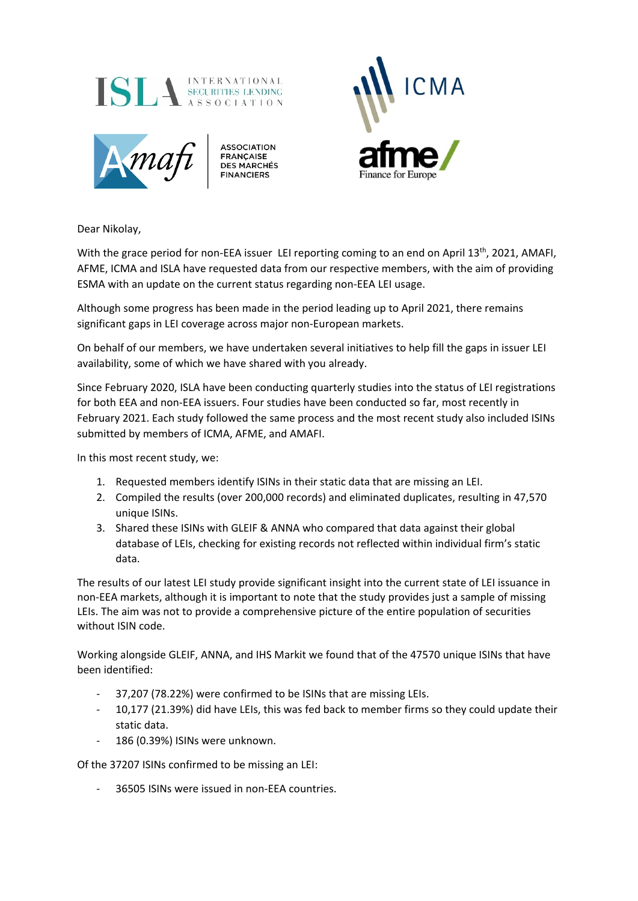



**ASSOCIATION FRANÇAISE<br>DES MARCHÉS** 



Dear Nikolay,

With the grace period for non-EEA issuer LEI reporting coming to an end on April 13<sup>th</sup>, 2021, AMAFI, AFME, ICMA and ISLA have requested data from our respective members, with the aim of providing ESMA with an update on the current status regarding non-EEA LEI usage.

Although some progress has been made in the period leading up to April 2021, there remains significant gaps in LEI coverage across major non-European markets.

On behalf of our members, we have undertaken several initiatives to help fill the gaps in issuer LEI availability, some of which we have shared with you already.

Since February 2020, ISLA have been conducting quarterly studies into the status of LEI registrations for both EEA and non-EEA issuers. Four studies have been conducted so far, most recently in February 2021. Each study followed the same process and the most recent study also included ISINs submitted by members of ICMA, AFME, and AMAFI.

In this most recent study, we:

- 1. Requested members identify ISINs in their static data that are missing an LEI.
- 2. Compiled the results (over 200,000 records) and eliminated duplicates, resulting in 47,570 unique ISINs.
- 3. Shared these ISINs with GLEIF & ANNA who compared that data against their global database of LEIs, checking for existing records not reflected within individual firm's static data.

The results of our latest LEI study provide significant insight into the current state of LEI issuance in non-EEA markets, although it is important to note that the study provides just a sample of missing LEIs. The aim was not to provide a comprehensive picture of the entire population of securities without ISIN code.

Working alongside GLEIF, ANNA, and IHS Markit we found that of the 47570 unique ISINs that have been identified:

- 37,207 (78.22%) were confirmed to be ISINs that are missing LEIs.
- 10,177 (21.39%) did have LEIs, this was fed back to member firms so they could update their static data.
- 186 (0.39%) ISINs were unknown.

Of the 37207 ISINs confirmed to be missing an LEI:

36505 ISINs were issued in non-EEA countries.